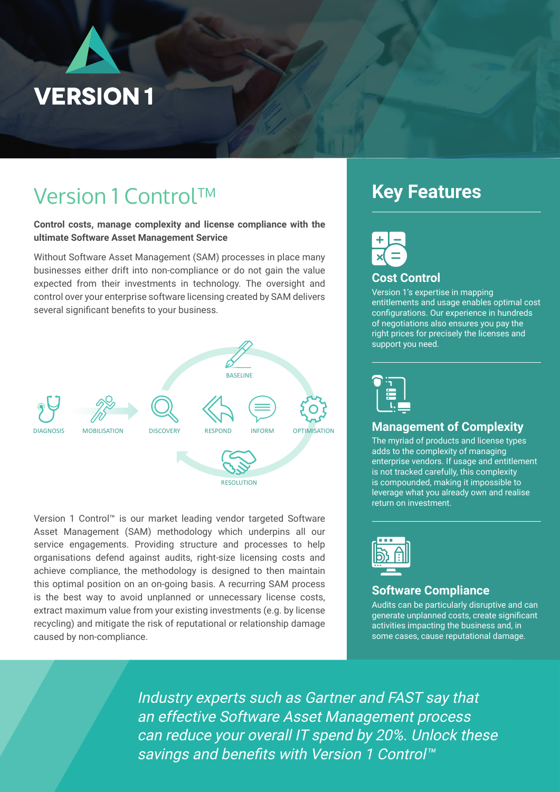

Data Sheet

# Version 1 Control™

**Control costs, manage complexity and license compliance with the ultimate Software Asset Management Service Control™ - Diagnosis**

Without Software Asset Management (SAM) processes in place many businesses either drift into non-compliance or do not gain the value expected from their investments in technology. The oversight and control over your enterprise software licensing created by SAM delivers several significant benefits to your business.



Version 1 Control™ is our market leading vendor targeted Software Asset Management (SAM) methodology which underpins all our service engagements. Providing structure and processes to help organisations defend against audits, right-size licensing costs and achieve compliance, the methodology is designed to then maintain this optimal position on an on-going basis. A recurring SAM process is the best way to avoid unplanned or unnecessary license costs, extract maximum value from your existing investments (e.g. by license recycling) and mitigate the risk of reputational or relationship damage caused by non-compliance.

## **Key Features**



## **Cost Control**

UUU UUIIIUI<br>Version 1's expertise in mapping entitlements and usage enables optimal cost configurations. Our experience in hundreds of negotiations also ensures you pay the right prices for precisely the licenses and support you need.



### **Management of Complexity**

The myriad of products and license types adds to the complexity of managing enterprise vendors. If usage and entitlement is not tracked carefully, this complexity<br>is compounded, making it impossible to is compounded, making it impossible to re compounded, maning minpercated in return on investment.



### **Software Compliance**

Audits can be particularly disruptive and can generate unplanned costs, create significant activities impacting the business and, in some cases, cause reputational damage.

Industry experts such as Gartner and FAST say that Industry experts such as Gartner and FAST say that an effective Software Asset Management process an effective Software Asset Management process can reduce your overall IT spend by 20%. Unlock these can reduce your overall IT spend by 20%. Unlock these savings and benefits with Version 1 Control™